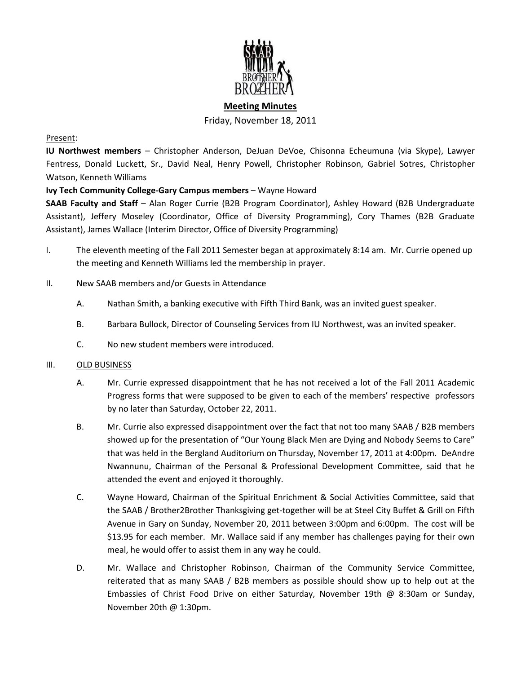

# **Meeting Minutes** Friday, November 18, 2011

## Present:

**IU Northwest members** – Christopher Anderson, DeJuan DeVoe, Chisonna Echeumuna (via Skype), Lawyer Fentress, Donald Luckett, Sr., David Neal, Henry Powell, Christopher Robinson, Gabriel Sotres, Christopher Watson, Kenneth Williams

# **Ivy Tech Community College-Gary Campus members** – Wayne Howard

**SAAB Faculty and Staff** – Alan Roger Currie (B2B Program Coordinator), Ashley Howard (B2B Undergraduate Assistant), Jeffery Moseley (Coordinator, Office of Diversity Programming), Cory Thames (B2B Graduate Assistant), James Wallace (Interim Director, Office of Diversity Programming)

- I. The eleventh meeting of the Fall 2011 Semester began at approximately 8:14 am. Mr. Currie opened up the meeting and Kenneth Williams led the membership in prayer.
- II. New SAAB members and/or Guests in Attendance
	- A. Nathan Smith, a banking executive with Fifth Third Bank, was an invited guest speaker.
	- B. Barbara Bullock, Director of Counseling Services from IU Northwest, was an invited speaker.
	- C. No new student members were introduced.

### III. OLD BUSINESS

- A. Mr. Currie expressed disappointment that he has not received a lot of the Fall 2011 Academic Progress forms that were supposed to be given to each of the members' respective professors by no later than Saturday, October 22, 2011.
- B. Mr. Currie also expressed disappointment over the fact that not too many SAAB / B2B members showed up for the presentation of "Our Young Black Men are Dying and Nobody Seems to Care" that was held in the Bergland Auditorium on Thursday, November 17, 2011 at 4:00pm. DeAndre Nwannunu, Chairman of the Personal & Professional Development Committee, said that he attended the event and enjoyed it thoroughly.
- C. Wayne Howard, Chairman of the Spiritual Enrichment & Social Activities Committee, said that the SAAB / Brother2Brother Thanksgiving get-together will be at Steel City Buffet & Grill on Fifth Avenue in Gary on Sunday, November 20, 2011 between 3:00pm and 6:00pm. The cost will be \$13.95 for each member. Mr. Wallace said if any member has challenges paying for their own meal, he would offer to assist them in any way he could.
- D. Mr. Wallace and Christopher Robinson, Chairman of the Community Service Committee, reiterated that as many SAAB / B2B members as possible should show up to help out at the Embassies of Christ Food Drive on either Saturday, November 19th @ 8:30am or Sunday, November 20th @ 1:30pm.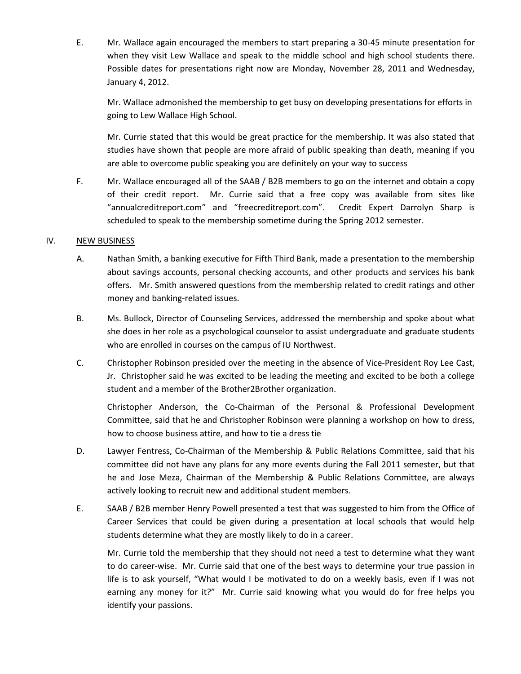E. Mr. Wallace again encouraged the members to start preparing a 30-45 minute presentation for when they visit Lew Wallace and speak to the middle school and high school students there. Possible dates for presentations right now are Monday, November 28, 2011 and Wednesday, January 4, 2012.

Mr. Wallace admonished the membership to get busy on developing presentations for efforts in going to Lew Wallace High School.

Mr. Currie stated that this would be great practice for the membership. It was also stated that studies have shown that people are more afraid of public speaking than death, meaning if you are able to overcome public speaking you are definitely on your way to success

F. Mr. Wallace encouraged all of the SAAB / B2B members to go on the internet and obtain a copy of their credit report. Mr. Currie said that a free copy was available from sites like "annualcreditreport.com" and "freecreditreport.com". Credit Expert Darrolyn Sharp is scheduled to speak to the membership sometime during the Spring 2012 semester.

## IV. NEW BUSINESS

- A. Nathan Smith, a banking executive for Fifth Third Bank, made a presentation to the membership about savings accounts, personal checking accounts, and other products and services his bank offers. Mr. Smith answered questions from the membership related to credit ratings and other money and banking-related issues.
- B. Ms. Bullock, Director of Counseling Services, addressed the membership and spoke about what she does in her role as a psychological counselor to assist undergraduate and graduate students who are enrolled in courses on the campus of IU Northwest.
- C. Christopher Robinson presided over the meeting in the absence of Vice-President Roy Lee Cast, Jr. Christopher said he was excited to be leading the meeting and excited to be both a college student and a member of the Brother2Brother organization.

Christopher Anderson, the Co-Chairman of the Personal & Professional Development Committee, said that he and Christopher Robinson were planning a workshop on how to dress, how to choose business attire, and how to tie a dress tie

- D. Lawyer Fentress, Co-Chairman of the Membership & Public Relations Committee, said that his committee did not have any plans for any more events during the Fall 2011 semester, but that he and Jose Meza, Chairman of the Membership & Public Relations Committee, are always actively looking to recruit new and additional student members.
- E. SAAB / B2B member Henry Powell presented a test that was suggested to him from the Office of Career Services that could be given during a presentation at local schools that would help students determine what they are mostly likely to do in a career.

Mr. Currie told the membership that they should not need a test to determine what they want to do career-wise. Mr. Currie said that one of the best ways to determine your true passion in life is to ask yourself, "What would I be motivated to do on a weekly basis, even if I was not earning any money for it?" Mr. Currie said knowing what you would do for free helps you identify your passions.